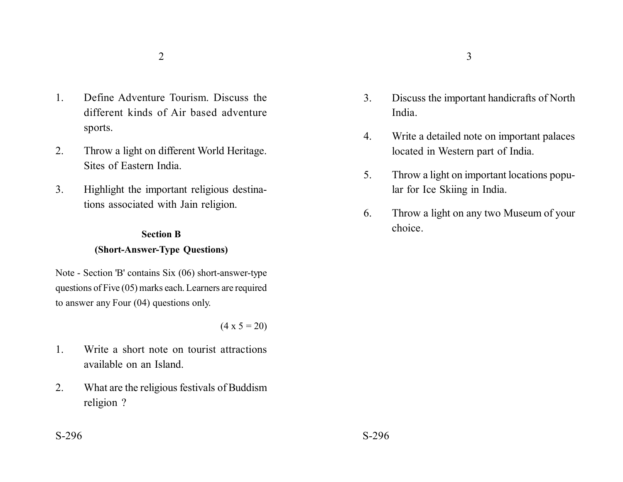- 1. Define Adventure Tourism. Discuss the different kinds of Air based adventure sports.
- 2. Throw a light on different World Heritage. Sites of Eastern India.
- 3. Highlight the important religious destinations associated with Jain religion.

# **Section B (Short-Answer-Type Questions)**

Note - Section 'B' contains Six (06) short-answer-type questions of Five (05) marks each. Learners are required to answer any Four (04) questions only.

 $(4 \times 5 = 20)$ 

- 1. Write a short note on tourist attractions available on an Island.
- 2. What are the religious festivals of Buddism religion ?
- 3. Discuss the important handicrafts of North India.
- 4. Write a detailed note on important palaces located in Western part of India.
- 5. Throw a light on important locations popular for Ice Skiing in India.
- 6. Throw a light on any two Museum of your choice.